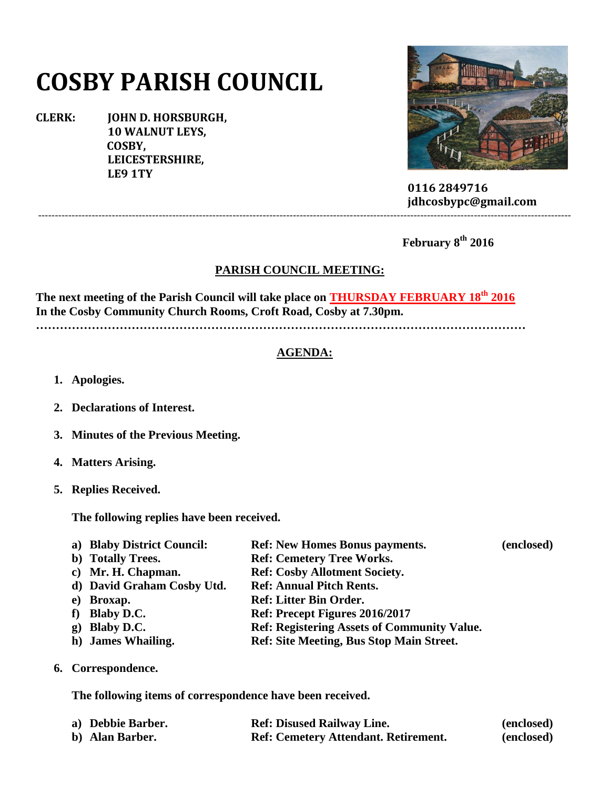# **COSBY PARISH COUNCIL**

**CLERK: JOHN D. HORSBURGH, 10 WALNUT LEYS, COSBY, LEICESTERSHIRE, LE9 1TY**



 **0116 2849716 jdhcosbypc@gmail.com**

 **February 8th 2016**

## **PARISH COUNCIL MEETING:**

---------------------------------------------------------------------------------------------------------------------------------------------------------------

**The next meeting of the Parish Council will take place on THURSDAY FEBRUARY 18th 2016 In the Cosby Community Church Rooms, Croft Road, Cosby at 7.30pm.**

**……………………………………………………………………………………………………………**

## **AGENDA:**

- **1. Apologies.**
- **2. Declarations of Interest.**
- **3. Minutes of the Previous Meeting.**
- **4. Matters Arising.**
- **5. Replies Received.**

**The following replies have been received.**

| a) Blaby District Council: | <b>Ref: New Homes Bonus payments.</b> | (enclosed) |
|----------------------------|---------------------------------------|------------|
| b) Totally Trees.          | <b>Ref: Cemetery Tree Works.</b>      |            |
| c) Mr. H. Chapman.         | <b>Ref: Cosby Allotment Society.</b>  |            |
| d) David Graham Cosby Utd. | <b>Ref: Annual Pitch Rents.</b>       |            |
| e) Broxap.                 | <b>Ref: Litter Bin Order.</b>         |            |
| f) Blaby D.C.              | Ref: Precept Figures 2016/2017        |            |

- **g) Blaby D.C. Ref: Registering Assets of Community Value.**
- **h) James Whailing. Ref: Site Meeting, Bus Stop Main Street.**
- **6. Correspondence.**

**The following items of correspondence have been received.**

| a) Debbie Barber. | <b>Ref: Disused Railway Line.</b>           | (enclosed) |
|-------------------|---------------------------------------------|------------|
| b) Alan Barber.   | <b>Ref: Cemetery Attendant. Retirement.</b> | (enclosed) |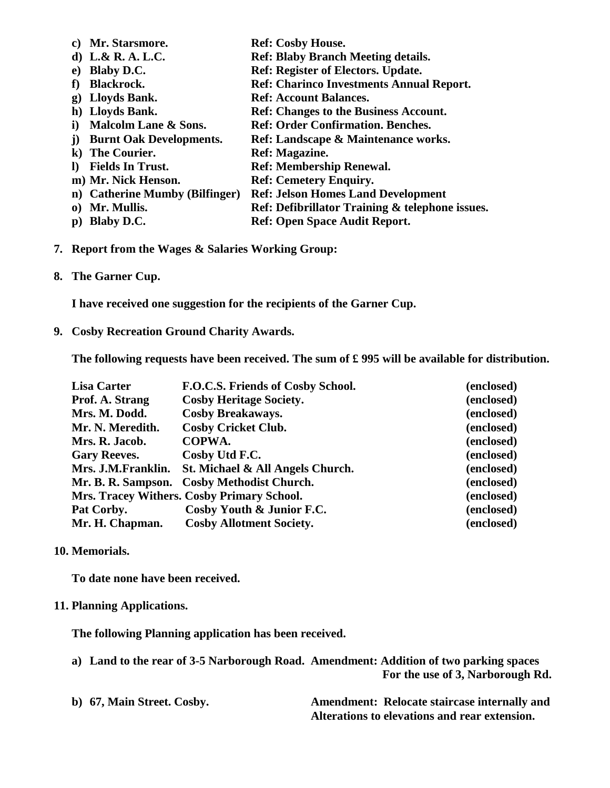| C)       | Mr. Starsmore.                 | <b>Ref: Cosby House.</b>                        |
|----------|--------------------------------|-------------------------------------------------|
|          | d) L.& R. A. L.C.              | <b>Ref: Blaby Branch Meeting details.</b>       |
| e)       | <b>Blaby D.C.</b>              | <b>Ref: Register of Electors. Update.</b>       |
|          | Blackrock.                     | <b>Ref: Charinco Investments Annual Report.</b> |
| g)       | Lloyds Bank.                   | <b>Ref: Account Balances.</b>                   |
|          | h) Lloyds Bank.                | <b>Ref: Changes to the Business Account.</b>    |
| i)       | Malcolm Lane & Sons.           | <b>Ref: Order Confirmation. Benches.</b>        |
|          | <b>Burnt Oak Developments.</b> | Ref: Landscape & Maintenance works.             |
|          | k) The Courier.                | Ref: Magazine.                                  |
| $\bf{D}$ | <b>Fields In Trust.</b>        | <b>Ref: Membership Renewal.</b>                 |
|          | m) Mr. Nick Henson.            | <b>Ref: Cemetery Enquiry.</b>                   |
|          | n) Catherine Mumby (Bilfinger) | <b>Ref: Jelson Homes Land Development</b>       |
|          | 0) Mr. Mullis.                 | Ref: Defibrillator Training & telephone issues. |
| p)       | <b>Blaby D.C.</b>              | <b>Ref: Open Space Audit Report.</b>            |
|          |                                |                                                 |

- **7. Report from the Wages & Salaries Working Group:**
- **8. The Garner Cup.**

**I have received one suggestion for the recipients of the Garner Cup.**

**9. Cosby Recreation Ground Charity Awards.**

**The following requests have been received. The sum of £ 995 will be available for distribution.**

| <b>Lisa Carter</b>  | F.O.C.S. Friends of Cosby School.          | (enclosed) |
|---------------------|--------------------------------------------|------------|
| Prof. A. Strang     | <b>Cosby Heritage Society.</b>             | (enclosed) |
| Mrs. M. Dodd.       | <b>Cosby Breakaways.</b>                   | (enclosed) |
| Mr. N. Meredith.    | <b>Cosby Cricket Club.</b>                 | (enclosed) |
| Mrs. R. Jacob.      | COPWA.                                     | (enclosed) |
| <b>Gary Reeves.</b> | Cosby Utd F.C.                             | (enclosed) |
| Mrs. J.M.Franklin.  | St. Michael & All Angels Church.           | (enclosed) |
|                     | Mr. B. R. Sampson. Cosby Methodist Church. | (enclosed) |
|                     | Mrs. Tracey Withers. Cosby Primary School. | (enclosed) |
| Pat Corby.          | Cosby Youth & Junior F.C.                  | (enclosed) |
| Mr. H. Chapman.     | <b>Cosby Allotment Society.</b>            | (enclosed) |

#### **10. Memorials.**

**To date none have been received.**

## **11. Planning Applications.**

**The following Planning application has been received.**

|  | a) Land to the rear of 3-5 Narborough Road. Amendment: Addition of two parking spaces |
|--|---------------------------------------------------------------------------------------|
|  | For the use of 3, Narborough Rd.                                                      |
|  |                                                                                       |

| b) 67, Main Street. Cosby. | Amendment: Relocate staircase internally and  |
|----------------------------|-----------------------------------------------|
|                            | Alterations to elevations and rear extension. |